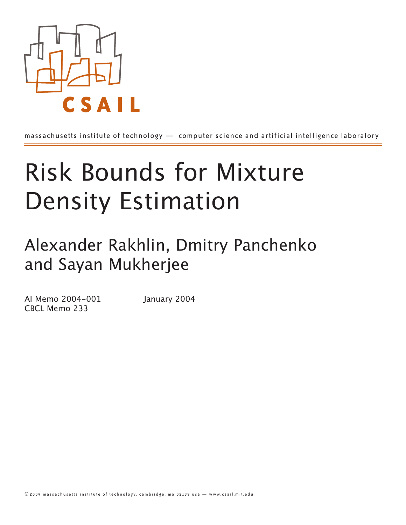

massachusetts institute of technology — computer science and artificial intelligence laboratory

# Risk Bounds for Mixture Density Estimation

Alexander Rakhlin, Dmitry Panchenko and Sayan Mukherjee

AI Memo 2004-001 January 2004 CBCL Memo 233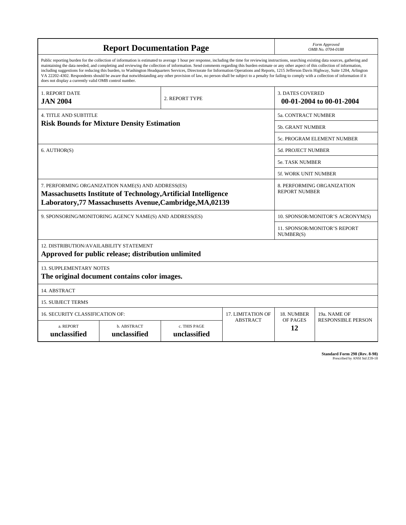|                                                                                                                                                                                   | <b>Report Documentation Page</b>                                                                                                                                                                                                                                                                                                                                                                                                                                                                                                                                                                                                                                                                                                                                                                         | Form Approved<br>OMB No. 0704-0188 |                                                  |                                                     |                                                    |  |  |
|-----------------------------------------------------------------------------------------------------------------------------------------------------------------------------------|----------------------------------------------------------------------------------------------------------------------------------------------------------------------------------------------------------------------------------------------------------------------------------------------------------------------------------------------------------------------------------------------------------------------------------------------------------------------------------------------------------------------------------------------------------------------------------------------------------------------------------------------------------------------------------------------------------------------------------------------------------------------------------------------------------|------------------------------------|--------------------------------------------------|-----------------------------------------------------|----------------------------------------------------|--|--|
| does not display a currently valid OMB control number.                                                                                                                            | Public reporting burden for the collection of information is estimated to average 1 hour per response, including the time for reviewing instructions, searching existing data sources, gathering and<br>maintaining the data needed, and completing and reviewing the collection of information. Send comments regarding this burden estimate or any other aspect of this collection of information,<br>including suggestions for reducing this burden, to Washington Headquarters Services, Directorate for Information Operations and Reports, 1215 Jefferson Davis Highway, Suite 1204, Arlington<br>VA 22202-4302. Respondents should be aware that notwithstanding any other provision of law, no person shall be subject to a penalty for failing to comply with a collection of information if it |                                    |                                                  |                                                     |                                                    |  |  |
| <b>1. REPORT DATE</b><br><b>JAN 2004</b>                                                                                                                                          |                                                                                                                                                                                                                                                                                                                                                                                                                                                                                                                                                                                                                                                                                                                                                                                                          | 2. REPORT TYPE                     |                                                  | <b>3. DATES COVERED</b><br>00-01-2004 to 00-01-2004 |                                                    |  |  |
| <b>4. TITLE AND SUBTITLE</b>                                                                                                                                                      |                                                                                                                                                                                                                                                                                                                                                                                                                                                                                                                                                                                                                                                                                                                                                                                                          | 5a. CONTRACT NUMBER                |                                                  |                                                     |                                                    |  |  |
|                                                                                                                                                                                   | <b>Risk Bounds for Mixture Density Estimation</b>                                                                                                                                                                                                                                                                                                                                                                                                                                                                                                                                                                                                                                                                                                                                                        |                                    | <b>5b. GRANT NUMBER</b>                          |                                                     |                                                    |  |  |
|                                                                                                                                                                                   |                                                                                                                                                                                                                                                                                                                                                                                                                                                                                                                                                                                                                                                                                                                                                                                                          |                                    |                                                  |                                                     | 5c. PROGRAM ELEMENT NUMBER                         |  |  |
| 6. AUTHOR(S)                                                                                                                                                                      |                                                                                                                                                                                                                                                                                                                                                                                                                                                                                                                                                                                                                                                                                                                                                                                                          |                                    |                                                  |                                                     | <b>5d. PROJECT NUMBER</b>                          |  |  |
|                                                                                                                                                                                   |                                                                                                                                                                                                                                                                                                                                                                                                                                                                                                                                                                                                                                                                                                                                                                                                          |                                    |                                                  |                                                     | <b>5e. TASK NUMBER</b>                             |  |  |
|                                                                                                                                                                                   |                                                                                                                                                                                                                                                                                                                                                                                                                                                                                                                                                                                                                                                                                                                                                                                                          | 5f. WORK UNIT NUMBER               |                                                  |                                                     |                                                    |  |  |
| 7. PERFORMING ORGANIZATION NAME(S) AND ADDRESS(ES)<br>Massachusetts Institute of Technology, Artificial Intelligence<br>Laboratory, 77 Massachusetts Avenue, Cambridge, MA, 02139 |                                                                                                                                                                                                                                                                                                                                                                                                                                                                                                                                                                                                                                                                                                                                                                                                          |                                    |                                                  |                                                     | 8. PERFORMING ORGANIZATION<br><b>REPORT NUMBER</b> |  |  |
| 9. SPONSORING/MONITORING AGENCY NAME(S) AND ADDRESS(ES)                                                                                                                           |                                                                                                                                                                                                                                                                                                                                                                                                                                                                                                                                                                                                                                                                                                                                                                                                          |                                    |                                                  | 10. SPONSOR/MONITOR'S ACRONYM(S)                    |                                                    |  |  |
|                                                                                                                                                                                   |                                                                                                                                                                                                                                                                                                                                                                                                                                                                                                                                                                                                                                                                                                                                                                                                          |                                    | <b>11. SPONSOR/MONITOR'S REPORT</b><br>NUMBER(S) |                                                     |                                                    |  |  |
| 12. DISTRIBUTION/AVAILABILITY STATEMENT                                                                                                                                           | Approved for public release; distribution unlimited                                                                                                                                                                                                                                                                                                                                                                                                                                                                                                                                                                                                                                                                                                                                                      |                                    |                                                  |                                                     |                                                    |  |  |
| <b>13. SUPPLEMENTARY NOTES</b>                                                                                                                                                    | The original document contains color images.                                                                                                                                                                                                                                                                                                                                                                                                                                                                                                                                                                                                                                                                                                                                                             |                                    |                                                  |                                                     |                                                    |  |  |
| 14. ABSTRACT                                                                                                                                                                      |                                                                                                                                                                                                                                                                                                                                                                                                                                                                                                                                                                                                                                                                                                                                                                                                          |                                    |                                                  |                                                     |                                                    |  |  |
| <b>15. SUBJECT TERMS</b>                                                                                                                                                          |                                                                                                                                                                                                                                                                                                                                                                                                                                                                                                                                                                                                                                                                                                                                                                                                          |                                    |                                                  |                                                     |                                                    |  |  |
| <b>16. SECURITY CLASSIFICATION OF:</b>                                                                                                                                            |                                                                                                                                                                                                                                                                                                                                                                                                                                                                                                                                                                                                                                                                                                                                                                                                          |                                    | 17. LIMITATION OF                                | 18. NUMBER                                          | 19a. NAME OF                                       |  |  |
| a. REPORT<br>unclassified                                                                                                                                                         | b. ABSTRACT<br>unclassified                                                                                                                                                                                                                                                                                                                                                                                                                                                                                                                                                                                                                                                                                                                                                                              | c. THIS PAGE<br>unclassified       | <b>ABSTRACT</b>                                  | OF PAGES<br>12                                      | <b>RESPONSIBLE PERSON</b>                          |  |  |

| <b>Standard Form 298 (Rev. 8-98)</b> |                               |  |  |
|--------------------------------------|-------------------------------|--|--|
|                                      | Prescribed by ANSI Std Z39-18 |  |  |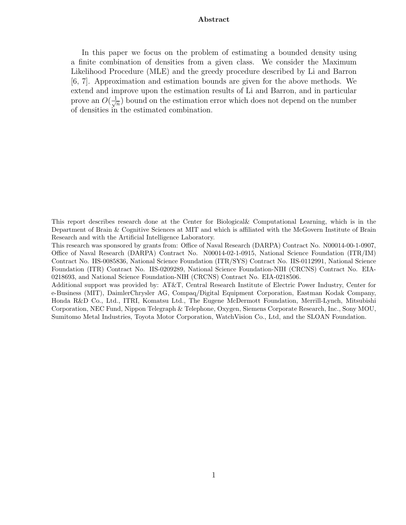#### **Abstract**

In this paper we focus on the problem of estimating a bounded density using a finite combination of densities from a given class. We consider the Maximum Likelihood Procedure (MLE) and the greedy procedure described by Li and Barron [6, 7]. Approximation and estimation bounds are given for the above methods. We extend and improve upon the estimation results of Li and Barron, and in particular prove an  $O(\frac{1}{\sqrt{n}})$  bound on the estimation error which does not depend on the number of densities in the estimated combination.

Additional support was provided by: AT&T, Central Research Institute of Electric Power Industry, Center for e-Business (MIT), DaimlerChrysler AG, Compaq/Digital Equipment Corporation, Eastman Kodak Company, Honda R&D Co., Ltd., ITRI, Komatsu Ltd., The Eugene McDermott Foundation, Merrill-Lynch, Mitsubishi Corporation, NEC Fund, Nippon Telegraph & Telephone, Oxygen, Siemens Corporate Research, Inc., Sony MOU, Sumitomo Metal Industries, Toyota Motor Corporation, WatchVision Co., Ltd, and the SLOAN Foundation.

This report describes research done at the Center for Biological& Computational Learning, which is in the Department of Brain & Cognitive Sciences at MIT and which is affiliated with the McGovern Institute of Brain Research and with the Artificial Intelligence Laboratory.

This research was sponsored by grants from: Office of Naval Research (DARPA) Contract No. N00014-00-1-0907, Office of Naval Research (DARPA) Contract No. N00014-02-1-0915, National Science Foundation (ITR/IM) Contract No. IIS-0085836, National Science Foundation (ITR/SYS) Contract No. IIS-0112991, National Science Foundation (ITR) Contract No. IIS-0209289, National Science Foundation-NIH (CRCNS) Contract No. EIA-0218693, and National Science Foundation-NIH (CRCNS) Contract No. EIA-0218506.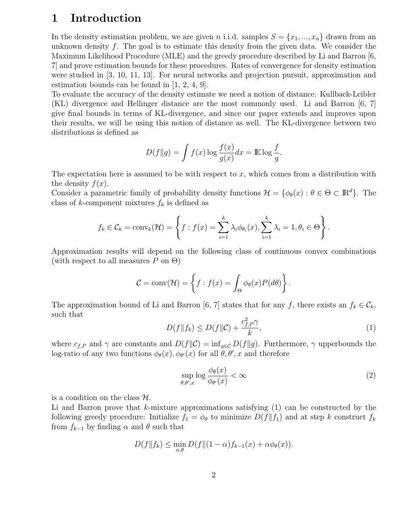## **1 Introduction**

In the density estimation problem, we are given *n* i.i.d. samples  $S = \{x_1, ..., x_n\}$  drawn from an unknown density f. The goal is to estimate this density from the given data. We consider the Maximum Likelihood Procedure (MLE) and the greedy procedure described by Li and Barron [6, 7] and prove estimation bounds for these procedures. Rates of convergence for density estimation were studied in [3, 10, 11, 13]. For neural networks and projection pursuit, approximation and estimation bounds can be found in [1, 2, 4, 9].

To evaluate the accuracy of the density estimate we need a notion of distance. Kullback-Leibler (KL) divergence and Hellinger distance are the most commonly used. Li and Barron [6, 7] give final bounds in terms of KL-divergence, and since our paper extends and improves upon their results, we will be using this notion of distance as well. The KL-divergence between two distributions is defined as

$$
D(f||g) = \int f(x) \log \frac{f(x)}{g(x)} dx = \mathbb{E} \log \frac{f}{g}.
$$

The expectation here is assumed to be with respect to  $x$ , which comes from a distribution with the density  $f(x)$ .

Consider a parametric family of probability density functions  $\mathcal{H} = \{\phi_{\theta}(x) : \theta \in \Theta \subset \mathbb{R}^d\}$ . The class of k-component mixtures  $f_k$  is defined as

$$
f_k \in C_k = \text{conv}_k(\mathcal{H}) = \left\{ f : f(x) = \sum_{i=1}^k \lambda_i \phi_{\theta_i}(x), \sum_{i=1}^k \lambda_i = 1, \theta_i \in \Theta \right\}.
$$

Approximation results will depend on the following class of continuous convex combinations (with respect to all measures P on  $\Theta$ )

$$
C = \text{conv}(\mathcal{H}) = \left\{ f : f(x) = \int_{\Theta} \phi_{\theta}(x) P(d\theta) \right\}.
$$

The approximation bound of Li and Barron [6, 7] states that for any f, there exists an  $f_k \in \mathcal{C}_k$ , such that

$$
D(f||f_k) \le D(f||\mathcal{C}) + \frac{c_{f,P}^2 \gamma}{k},\tag{1}
$$

where  $c_{f,P}$  and  $\gamma$  are constants and  $D(f||\mathcal{C}) = \inf_{g \in \mathcal{C}} D(f||g)$ . Furthermore,  $\gamma$  upperbounds the log-ratio of any two functions  $\phi_{\theta}(x), \phi_{\theta}(x)$  for all  $\theta, \theta', x$  and therefore

$$
\sup_{\theta,\theta',x} \log \frac{\phi_{\theta}(x)}{\phi_{\theta'}(x)} < \infty \tag{2}
$$

is a condition on the class  $H$ .

Li and Barron prove that  $k$ -mixture approximations satisfying  $(1)$  can be constructed by the following greedy procedure: Initialize  $f_1 = \phi_\theta$  to minimize  $D(f||f_1)$  and at step k construct  $f_k$ from  $f_{k-1}$  by finding  $\alpha$  and  $\theta$  such that

$$
D(f||f_k) \le \min_{\alpha,\theta} D(f||(1-\alpha)f_{k-1}(x) + \alpha\phi_{\theta}(x)).
$$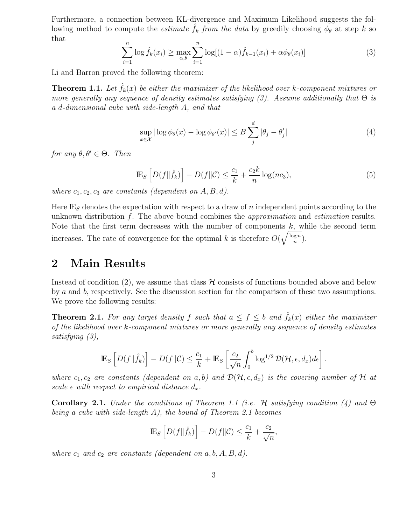Furthermore, a connection between KL-divergence and Maximum Likelihood suggests the following method to compute the *estimate*  $\hat{f}_k$  *from the data* by greedily choosing  $\phi_\theta$  at step k so that

$$
\sum_{i=1}^{n} \log \hat{f}_k(x_i) \ge \max_{\alpha, \theta} \sum_{i=1}^{n} \log[(1-\alpha)\hat{f}_{k-1}(x_i) + \alpha \phi_{\theta}(x_i)] \tag{3}
$$

Li and Barron proved the following theorem:

**Theorem 1.1.** Let  $\hat{f}_k(x)$  be either the maximizer of the likelihood over k-component mixtures or *more generally any sequence of density estimates satisfying (3). Assume additionally that* Θ *is a* d*-dimensional cube with side-length* A*, and that*

$$
\sup_{x \in \mathcal{X}} |\log \phi_{\theta}(x) - \log \phi_{\theta'}(x)| \leq B \sum_{j}^{d} |\theta_j - \theta'_j| \tag{4}
$$

*for any*  $\theta, \theta' \in \Theta$ *. Then* 

$$
\mathbb{E}_S \left[ D(f \|\hat{f}_k) \right] - D(f \|\mathcal{C}) \le \frac{c_1}{k} + \frac{c_2 k}{n} \log(n c_3),\tag{5}
$$

*where*  $c_1, c_2, c_3$  *are constants (dependent on*  $A, B, d$ ).

Here  $\mathbb{E}_S$  denotes the expectation with respect to a draw of n independent points according to the unknown distribution f. The above bound combines the *approximation* and *estimation* results. Note that the first term decreases with the number of components  $k$ , while the second term increases. The rate of convergence for the optimal k is therefore  $O(\sqrt{\frac{\log n}{n}})$ .

## **2 Main Results**

Instead of condition (2), we assume that class  $\mathcal H$  consists of functions bounded above and below by a and b, respectively. See the discussion section for the comparison of these two assumptions. We prove the following results:

**Theorem 2.1.** For any target density f such that  $a \leq f \leq b$  and  $\hat{f}_k(x)$  either the maximizer *of the likelihood over* k*-component mixtures or more generally any sequence of density estimates satisfying (3),*

$$
\mathbb{E}_S\left[D(f\|\hat{f}_k)\right] - D(f\|\mathcal{C}) \leq \frac{c_1}{k} + \mathbb{E}_S\left[\frac{c_2}{\sqrt{n}} \int_0^b \log^{1/2} \mathcal{D}(\mathcal{H}, \epsilon, d_x) d\epsilon\right].
$$

where  $c_1, c_2$  are constants (dependent on a, b) and  $\mathcal{D}(\mathcal{H}, \epsilon, d_x)$  is the covering number of  $\mathcal H$  at *scale*  $\epsilon$  *with respect to empirical distance*  $d_x$ *.* 

**Corollary 2.1.** *Under the conditions of Theorem 1.1 (i.e.* H *satisfying condition (4) and* Θ *being a cube with side-length* A*), the bound of Theorem 2.1 becomes*

$$
\mathbb{E}_S \left[ D(f \|\hat{f}_k) \right] - D(f \|\mathcal{C}) \le \frac{c_1}{k} + \frac{c_2}{\sqrt{n}},
$$

*where*  $c_1$  *and*  $c_2$  *are constants (dependent on*  $a, b, A, B, d$ ).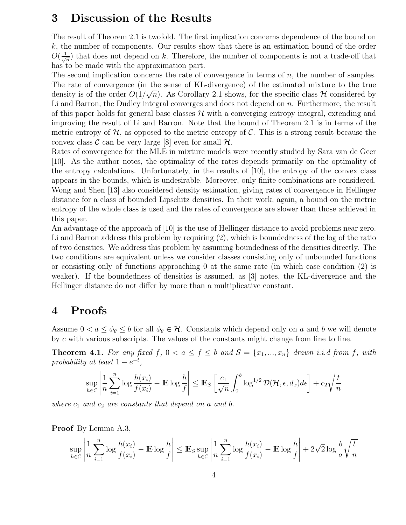## **3 Discussion of the Results**

The result of Theorem 2.1 is twofold. The first implication concerns dependence of the bound on  $k$ , the number of components. Our results show that there is an estimation bound of the order  $O(\frac{1}{\sqrt{n}})$  that does not depend on k. Therefore, the number of components is not a trade-off that has to be made with the approximation part.

The second implication concerns the rate of convergence in terms of  $n$ , the number of samples. The rate of convergence (in the sense of KL-divergence) of the estimated mixture to the true The rate of convergence (in the sense of KL-divergence) of the estimated inixture to the true<br>density is of the order  $O(1/\sqrt{n})$ . As Corollary 2.1 shows, for the specific class  $\mathcal H$  considered by Li and Barron, the Dudley integral converges and does not depend on  $n$ . Furthermore, the result of this paper holds for general base classes  $\mathcal H$  with a converging entropy integral, extending and improving the result of Li and Barron. Note that the bound of Theorem 2.1 is in terms of the metric entropy of  $H$ , as opposed to the metric entropy of  $C$ . This is a strong result because the convex class  $\mathcal C$  can be very large [8] even for small  $\mathcal H$ .

Rates of convergence for the MLE in mixture models were recently studied by Sara van de Geer [10]. As the author notes, the optimality of the rates depends primarily on the optimality of the entropy calculations. Unfortunately, in the results of [10], the entropy of the convex class appears in the bounds, which is undesirable. Moreover, only finite combinations are considered. Wong and Shen [13] also considered density estimation, giving rates of convergence in Hellinger distance for a class of bounded Lipschitz densities. In their work, again, a bound on the metric entropy of the whole class is used and the rates of convergence are slower than those achieved in this paper.

An advantage of the approach of [10] is the use of Hellinger distance to avoid problems near zero. Li and Barron address this problem by requiring (2), which is boundedness of the log of the ratio of two densities. We address this problem by assuming boundedness of the densities directly. The two conditions are equivalent unless we consider classes consisting only of unbounded functions or consisting only of functions approaching  $\theta$  at the same rate (in which case condition  $(2)$ ) is weaker). If the boundedness of densities is assumed, as [3] notes, the KL-divergence and the Hellinger distance do not differ by more than a multiplicative constant.

## **4 Proofs**

Assume  $0 < a \leq \phi_{\theta} \leq b$  for all  $\phi_{\theta} \in \mathcal{H}$ . Constants which depend only on a and b we will denote by c with various subscripts. The values of the constants might change from line to line.

**Theorem 4.1.** For any fixed f,  $0 < a \le f \le b$  and  $S = \{x_1, ..., x_n\}$  drawn *i.i.d from f, with probability at least*  $1 - e^{-t}$ ,

$$
\sup_{h \in \mathcal{C}} \left| \frac{1}{n} \sum_{i=1}^n \log \frac{h(x_i)}{f(x_i)} - \mathbb{E} \log \frac{h}{f} \right| \le \mathbb{E}_S \left[ \frac{c_1}{\sqrt{n}} \int_0^b \log^{1/2} \mathcal{D}(\mathcal{H}, \epsilon, d_x) d\epsilon \right] + c_2 \sqrt{\frac{t}{n}}
$$

*where*  $c_1$  *and*  $c_2$  *are constants that depend on a and b*.

**Proof** By Lemma A.3,

$$
\sup_{h \in \mathcal{C}} \left| \frac{1}{n} \sum_{i=1}^n \log \frac{h(x_i)}{f(x_i)} - \mathbb{E} \log \frac{h}{f} \right| \le \mathbb{E}_S \sup_{h \in \mathcal{C}} \left| \frac{1}{n} \sum_{i=1}^n \log \frac{h(x_i)}{f(x_i)} - \mathbb{E} \log \frac{h}{f} \right| + 2\sqrt{2} \log \frac{b}{a} \sqrt{\frac{t}{n}}
$$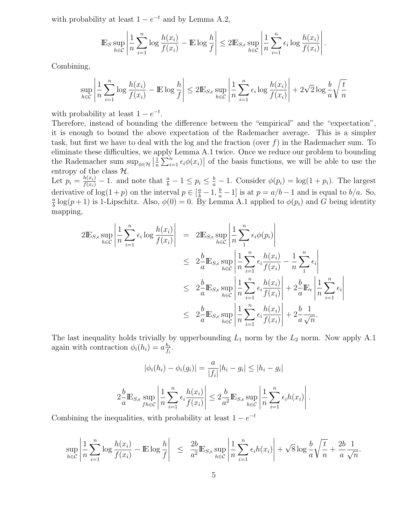with probability at least  $1 - e^{-t}$  and by Lemma A.2,

$$
\mathbb{E}_S \sup_{h \in \mathcal{C}} \left| \frac{1}{n} \sum_{i=1}^n \log \frac{h(x_i)}{f(x_i)} - \mathbb{E} \log \frac{h}{f} \right| \le 2 \mathbb{E}_{S, \epsilon} \sup_{h \in \mathcal{C}} \left| \frac{1}{n} \sum_{i=1}^n \epsilon_i \log \frac{h(x_i)}{f(x_i)} \right|.
$$

Combining,

$$
\sup_{h \in \mathcal{C}} \left| \frac{1}{n} \sum_{i=1}^n \log \frac{h(x_i)}{f(x_i)} - \mathbb{E} \log \frac{h}{f} \right| \le 2 \mathbb{E}_{S, \epsilon} \sup_{h \in \mathcal{C}} \left| \frac{1}{n} \sum_{i=1}^n \epsilon_i \log \frac{h(x_i)}{f(x_i)} \right| + 2\sqrt{2} \log \frac{b}{a} \sqrt{\frac{t}{n}}
$$

with probability at least  $1 - e^{-t}$ .

Therefore, instead of bounding the difference between the "empirical" and the "expectation", it is enough to bound the above expectation of the Rademacher average. This is a simpler task, but first we have to deal with the log and the fraction (over  $f$ ) in the Rademacher sum. To eliminate these difficulties, we apply Lemma A.1 twice. Once we reduce our problem to bounding the Rademacher sum  $\sup_{\phi \in \mathcal{H}} \left| \frac{1}{n} \sum_{i=1}^n \epsilon_i \phi(x_i) \right|$  of the basis functions, we will be able to use the entropy of the class  $\mathcal{H}$ .

Let  $p_i = \frac{h(x_i)}{f(x_i)} - 1$ . and note that  $\frac{a}{b} - 1 \le p_i \le \frac{b}{a} - 1$ . Consider  $\phi(p_i) = \log(1 + p_i)$ . The largest derivative of  $\log(1+p)$  on the interval  $p \in \left[\frac{a}{b}-1, \frac{b}{a}-1\right]$  is at  $p = a/b-1$  and is equal to  $b/a$ . So,  $\frac{a}{b} \log(p+1)$  is 1 Lingchitz. Also,  $\phi(0) = 0$ . By Lemma A 1 applied to  $\phi(n)$  and G being identity.  $\frac{a}{b} \log(p+1)$  is 1-Lipschitz. Also,  $\phi(0) = 0$ . By Lemma A.1 applied to  $\phi(p_i)$  and G being identity mapping,

$$
2\mathbb{E}_{S,\epsilon} \sup_{h \in \mathcal{C}} \left| \frac{1}{n} \sum_{i=1}^{n} \epsilon_{i} \log \frac{h(x_{i})}{f(x_{i})} \right| = 2\mathbb{E}_{S,\epsilon} \sup_{h \in \mathcal{C}} \left| \frac{1}{n} \sum_{i=1}^{n} \epsilon_{i} \phi(p_{i}) \right|
$$
  
\n
$$
\leq 2\frac{b}{a} \mathbb{E}_{S,\epsilon} \sup_{h \in \mathcal{C}} \left| \frac{1}{n} \sum_{i=1}^{n} \epsilon_{i} \frac{h(x_{i})}{f(x_{i})} - \frac{1}{n} \sum_{i=1}^{n} \epsilon_{i} \right|
$$
  
\n
$$
\leq 2\frac{b}{a} \mathbb{E}_{S,\epsilon} \sup_{h \in \mathcal{C}} \left| \frac{1}{n} \sum_{i=1}^{n} \epsilon_{i} \frac{h(x_{i})}{f(x_{i})} \right| + 2\frac{b}{a} \mathbb{E}_{\epsilon} \left| \frac{1}{n} \sum_{i=1}^{n} \epsilon_{i} \right|
$$
  
\n
$$
\leq 2\frac{b}{a} \mathbb{E}_{S,\epsilon} \sup_{h \in \mathcal{C}} \left| \frac{1}{n} \sum_{i=1}^{n} \epsilon_{i} \frac{h(x_{i})}{f(x_{i})} \right| + 2\frac{b}{a} \mathbb{E}_{\epsilon} \left| \frac{1}{n} \sum_{i=1}^{n} \epsilon_{i} \right|
$$

The last inequality holds trivially by upperbounding  $L_1$  norm by the  $L_2$  norm. Now apply A.1 again with contraction  $\phi_i(h_i) = a \frac{h_i}{f_i}$ .

$$
|\phi_i(h_i) - \phi_i(g_i)| = \frac{a}{|f_i|} |h_i - g_i| \le |h_i - g_i|
$$
  

$$
2\frac{b}{a} \mathbb{E}_{S,\epsilon} \sup_{f h \in \mathcal{C}} \left| \frac{1}{n} \sum_{i=1}^n \epsilon_i \frac{h(x_i)}{f(x_i)} \right| \le 2\frac{b}{a^2} \mathbb{E}_{S,\epsilon} \sup_{h \in \mathcal{C}} \left| \frac{1}{n} \sum_{i=1}^n \epsilon_i h(x_i) \right|.
$$

Combining the inequalities, with probability at least  $1 - e^{-t}$ 

$$
\sup_{h \in \mathcal{C}} \left| \frac{1}{n} \sum_{i=1}^n \log \frac{h(x_i)}{f(x_i)} - \mathbb{E} \log \frac{h}{f} \right| \leq \left| \frac{2b}{a^2} \mathbb{E}_{S, \epsilon} \sup_{h \in \mathcal{C}} \left| \frac{1}{n} \sum_{i=1}^n \epsilon_i h(x_i) \right| + \sqrt{8} \log \frac{b}{a} \sqrt{\frac{t}{n}} + \frac{2b}{a} \frac{1}{\sqrt{n}}.
$$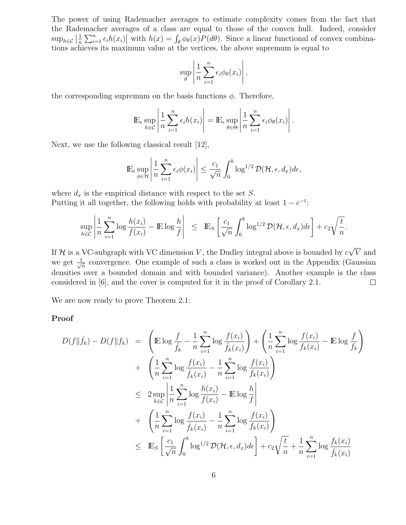The power of using Rademacher averages to estimate complexity comes from the fact that the Rademacher averages of a class are equal to those of the convex hull. Indeed, consider  $\sup_{h \in \mathcal{C}} \left| \frac{1}{n} \sum_{i=1}^n \epsilon_i h(x_i) \right|$  with  $h(x) = \int_{\theta} \phi_{\theta}(x) P(d\theta)$ . Since a linear functional of convex combinations achieves its maximum value at the vertices, the above supremum is equal to

$$
\sup_{\theta} \left| \frac{1}{n} \sum_{i=1}^{n} \epsilon_i \phi_{\theta}(x_i) \right|,
$$

the corresponding supremum on the basis functions  $\phi$ . Therefore,

$$
\mathbb{E}_{\epsilon} \sup_{h \in \mathcal{C}} \left| \frac{1}{n} \sum_{i=1}^{n} \epsilon_{i} h(x_{i}) \right| = \mathbb{E}_{\epsilon} \sup_{\theta \in \Theta} \left| \frac{1}{n} \sum_{i=1}^{n} \epsilon_{i} \phi_{\theta}(x_{i}) \right|.
$$

Next, we use the following classical result [12],

$$
\mathbb{E}_{\epsilon} \sup_{\phi \in \mathcal{H}} \left| \frac{1}{n} \sum_{i=1}^n \epsilon_i \phi(x_i) \right| \leq \frac{c_1}{\sqrt{n}} \int_0^b \log^{1/2} \mathcal{D}(\mathcal{H}, \epsilon, d_x) d\epsilon,
$$

where  $d_x$  is the empirical distance with respect to the set S. Putting it all together, the following holds with probability at least  $1 - e^{-t}$ .

$$
\sup_{h \in \mathcal{C}} \left| \frac{1}{n} \sum_{i=1}^n \log \frac{h(x_i)}{f(x_i)} - \mathbb{E} \log \frac{h}{f} \right| \leq \mathbb{E}_S \left[ \frac{c_1}{\sqrt{n}} \int_0^b \log^{1/2} \mathcal{D}(\mathcal{H}, \epsilon, d_x) d\epsilon \right] + c_2 \sqrt{\frac{t}{n}}
$$

.

√ If H is a VC-subgraph with VC dimension V, the Dudley integral above is bounded by  $c$ V and we get  $\frac{1}{\sqrt{n}}$  convergence. One example of such a class is worked out in the Appendix (Gaussian densities over a bounded domain and with bounded variance). Another example is the class considered in [6], and the cover is computed for it in the proof of Corollary 2.1.  $\Box$ 

We are now ready to prove Theorem 2.1:

#### **Proof**

$$
D(f||\hat{f}_k) - D(f||f_k) = \left(\mathbb{E}\log\frac{f}{\hat{f}_k} - \frac{1}{n}\sum_{i=1}^n \log\frac{f(x_i)}{\hat{f}_k(x_i)}\right) + \left(\frac{1}{n}\sum_{i=1}^n \log\frac{f(x_i)}{f_k(x_i)} - \mathbb{E}\log\frac{f}{f_k}\right) + \left(\frac{1}{n}\sum_{i=1}^n \log\frac{f(x_i)}{\hat{f}_k(x_i)} - \frac{1}{n}\sum_{i=1}^n \log\frac{f(x_i)}{f_k(x_i)}\right) \leq 2 \sup_{h \in \mathcal{C}} \left|\frac{1}{n}\sum_{i=1}^n \log\frac{h(x_i)}{f(x_i)} - \mathbb{E}\log\frac{h}{f}\right| + \left(\frac{1}{n}\sum_{i=1}^n \log\frac{f(x_i)}{\hat{f}_k(x_i)} - \frac{1}{n}\sum_{i=1}^n \log\frac{f(x_i)}{f_k(x_i)}\right) \leq \mathbb{E}_S \left[\frac{c_1}{\sqrt{n}} \int_0^b \log^{1/2} \mathcal{D}(\mathcal{H}, \epsilon, d_x) d\epsilon\right] + c_2 \sqrt{\frac{t}{n}} + \frac{1}{n}\sum_{i=1}^n \log\frac{f_k(x_i)}{\hat{f}_k(x_i)}
$$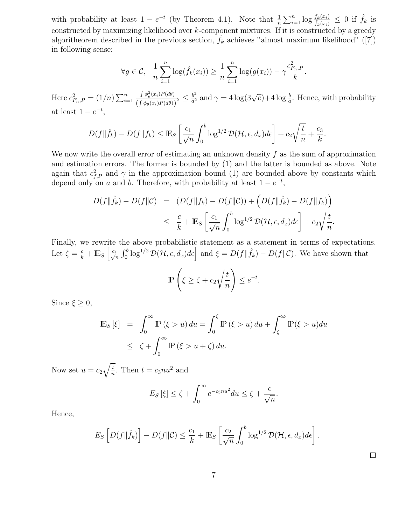with probability at least  $1 - e^{-t}$  (by Theorem 4.1). Note that  $\frac{1}{n} \sum_{i=1}^{n} \log \frac{f_k(x_i)}{\hat{f}_k(x_i)} \leq 0$  if  $\hat{f}_k$  is constructed by maximizing likelihood over k-component mixtures. If it is constructed by a greedy algoritheorem described in the previous section,  $\hat{f}_k$  achieves "almost maximum likelihood" ([7]) in following sense:

$$
\forall g \in C, \quad \frac{1}{n} \sum_{i=1}^{n} \log(\hat{f}_k(x_i)) \ge \frac{1}{n} \sum_{i=1}^{n} \log(g(x_i)) - \gamma \frac{c_{F_n, P}^2}{k}.
$$

Here  $c_{F_n, P}^2 = (1/n) \sum_{i=1}^n$  $i=1$  $\int \phi_\theta^2(x_i) P(d\theta)$  $\left(\int \phi_{\theta}(x_i) P(d\theta)\right)$  $\frac{b^2}{2} \leq \frac{b^2}{a^2}$  and  $\gamma = 4 \log(3\sqrt{e}) + 4 \log \frac{b}{a}$ . Hence, with probability at least  $1 - e^{-t}$ ,

$$
D(f||\hat{f}_k) - D(f||f_k) \leq \mathbb{E}_S \left[ \frac{c_1}{\sqrt{n}} \int_0^b \log^{1/2} \mathcal{D}(\mathcal{H}, \epsilon, d_x) d\epsilon \right] + c_2 \sqrt{\frac{t}{n}} + \frac{c_3}{k}.
$$

We now write the overall error of estimating an unknown density  $f$  as the sum of approximation and estimation errors. The former is bounded by (1) and the latter is bounded as above. Note again that  $c_{f,P}^2$  and  $\gamma$  in the approximation bound (1) are bounded above by constants which depend only on a and b. Therefore, with probability at least  $1 - e^{-t}$ ,

$$
D(f||\hat{f}_k) - D(f||\mathcal{C}) = (D(f||f_k) - D(f||\mathcal{C})) + (D(f||\hat{f}_k) - D(f||f_k))
$$
  

$$
\leq \frac{c}{k} + \mathbb{E}_S \left[ \frac{c_1}{\sqrt{n}} \int_0^b \log^{1/2} \mathcal{D}(\mathcal{H}, \epsilon, d_x) d\epsilon \right] + c_2 \sqrt{\frac{t}{n}}.
$$

Finally, we rewrite the above probabilistic statement as a statement in terms of expectations. Let  $\zeta = \frac{c}{k} + \mathbb{E}_S \left[ \frac{c_1}{\sqrt{n}} \int_0^b \log^{1/2} \mathcal{D}(\mathcal{H}, \epsilon, d_x) d\epsilon \right]$  and  $\xi = D(f||\hat{f}_k) - D(f||\mathcal{C})$ . We have shown that

$$
\mathbb{P}\left(\xi \ge \zeta + c_2 \sqrt{\frac{t}{n}}\right) \le e^{-t}.
$$

Since  $\xi \geq 0$ ,

$$
\mathbb{E}_S[\xi] = \int_0^\infty \mathbb{P}(\xi > u) du = \int_0^\zeta \mathbb{P}(\xi > u) du + \int_\zeta^\infty \mathbb{P}(\xi > u) du
$$
  

$$
\leq \zeta + \int_0^\infty \mathbb{P}(\xi > u + \zeta) du.
$$

Now set  $u = c_2 \sqrt{\frac{t}{n}}$ . Then  $t = c_3 n u^2$  and

$$
E_S\left[\xi\right] \le \zeta + \int_0^\infty e^{-c_3 n u^2} du \le \zeta + \frac{c}{\sqrt{n}}.
$$

Hence,

$$
E_S\left[D(f\|\hat{f}_k)\right] - D(f\|\mathcal{C}) \leq \frac{c_1}{k} + \mathbb{E}_S\left[\frac{c_2}{\sqrt{n}} \int_0^b \log^{1/2} \mathcal{D}(\mathcal{H}, \epsilon, d_x) d\epsilon\right].
$$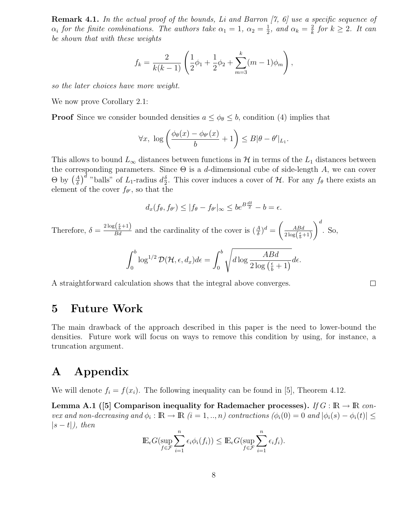**Remark 4.1.** *In the actual proof of the bounds, Li and Barron [7, 6] use a specific sequence of*  $\alpha_i$  *for the finite combinations. The authors take*  $\alpha_1 = 1$ ,  $\alpha_2 = \frac{1}{2}$ , and  $\alpha_k = \frac{2}{k}$  *for*  $k \geq 2$ *. It can* be shown that with these weights *be shown that with these weights*

$$
f_k = \frac{2}{k(k-1)} \left( \frac{1}{2} \phi_1 + \frac{1}{2} \phi_2 + \sum_{m=3}^k (m-1) \phi_m \right),
$$

*so the later choices have more weight.*

We now prove Corollary 2.1:

**Proof** Since we consider bounded densities  $a \leq \phi_{\theta} \leq b$ , condition (4) implies that

$$
\forall x, \ \log\left(\frac{\phi_{\theta}(x) - \phi_{\theta'}(x)}{b} + 1\right) \leq B|\theta - \theta'|_{L_1}.
$$

This allows to bound  $L_{\infty}$  distances between functions in H in terms of the  $L_1$  distances between the corresponding parameters. Since  $\Theta$  is a d-dimensional cube of side-length A, we can cover  $\Theta$  by  $\left(\frac{A}{\delta}\right)^d$  "balls" of  $L_1$ -radius  $d_2^{\delta}$ . This cover induces a cover of  $\mathcal H$ . For any  $f_\theta$  there exists an element of the cover  $f_\alpha$ , so that the element of the cover  $f_{\theta}$ , so that the

$$
d_x(f_{\theta}, f_{\theta'}) \le |f_{\theta} - f_{\theta'}|_{\infty} \le b e^{B\frac{d\delta}{2}} - b = \epsilon.
$$

Therefore,  $\delta = \frac{2 \log(\frac{\epsilon}{b} + 1)}{Bd}$  and the cardinality of the cover is  $(\frac{A}{\delta})^d = \left(\frac{ABd}{2 \log(\frac{\epsilon}{b} + 1)}\right)$  $\bigg)^d$ . So,

$$
\int_0^b \log^{1/2} \mathcal{D}(\mathcal{H}, \epsilon, d_x) d\epsilon = \int_0^b \sqrt{d \log \frac{A B d}{2 \log \left(\frac{\epsilon}{b} + 1\right)}} d\epsilon.
$$

A straightforward calculation shows that the integral above converges.

## **5 Future Work**

The main drawback of the approach described in this paper is the need to lower-bound the densities. Future work will focus on ways to remove this condition by using, for instance, a truncation argument.

## **A Appendix**

We will denote  $f_i = f(x_i)$ . The following inequality can be found in [5], Theorem 4.12.

**Lemma A.1** ([5] Comparison inequality for Rademacher processes). *If*  $G : \mathbb{R} \to \mathbb{R}$  *convex and non-decreasing and*  $\phi_i : \mathbb{R} \to \mathbb{R}$  ( $i = 1, ..., n$ ) contractions ( $\phi_i(0) = 0$  and  $|\phi_i(s) - \phi_i(t)| \le$ |s − t|*), then*

$$
\mathbb{E}_{\epsilon} G(\sup_{f \in \mathcal{F}} \sum_{i=1}^{n} \epsilon_i \phi_i(f_i)) \leq \mathbb{E}_{\epsilon} G(\sup_{f \in \mathcal{F}} \sum_{i=1}^{n} \epsilon_i f_i).
$$

 $\Box$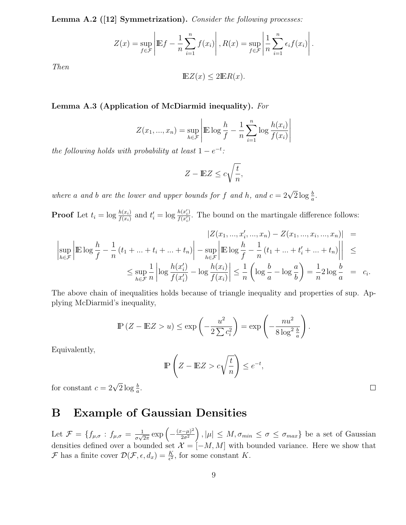**Lemma A.2 ([12] Symmetrization).** *Consider the following processes:*

$$
Z(x) = \sup_{f \in \mathcal{F}} \left| \mathbb{E} f - \frac{1}{n} \sum_{i=1}^{n} f(x_i) \right|, R(x) = \sup_{f \in \mathcal{F}} \left| \frac{1}{n} \sum_{i=1}^{n} \epsilon_i f(x_i) \right|.
$$

*Then*

$$
\mathbb{E}Z(x) \le 2\mathbb{E}R(x).
$$

### **Lemma A.3 (Application of McDiarmid inequality).** *For*

$$
Z(x_1, ..., x_n) = \sup_{h \in \mathcal{F}} \left| \mathbb{E} \log \frac{h}{f} - \frac{1}{n} \sum_{i=1}^n \log \frac{h(x_i)}{f(x_i)} \right|
$$

*the following holds with probability at least*  $1 - e^{-t}$ *:* 

$$
Z - \mathbb{E}Z \le c\sqrt{\frac{t}{n}},
$$

*where* a and *b* are the lower and upper bounds for f and *h*, and  $c = 2\sqrt{2} \log \frac{b}{a}$ .

**Proof** Let  $t_i = \log \frac{h(x_i)}{f(x_i)}$  and  $t'_i = \log \frac{h(x'_i)}{f(x'_i)}$ . The bound on the martingale difference follows:

$$
\begin{aligned}\n|Z(x_1, ..., x_i', ..., x_n) - Z(x_1, ..., x_i, ..., x_n)| &= \\
\left|\sup_{h \in \mathcal{F}} \left| \mathbb{E} \log \frac{h}{f} - \frac{1}{n} (t_1 + ... + t_i + ... + t_n) \right| - \sup_{h \in \mathcal{F}} \left| \mathbb{E} \log \frac{h}{f} - \frac{1}{n} (t_1 + ... + t_i' + ... + t_n) \right| \right| &\leq \\
&\leq \sup_{h \in \mathcal{F}} \frac{1}{n} \left| \log \frac{h(x_i')}{f(x_i')} - \log \frac{h(x_i)}{f(x_i)} \right| \leq \frac{1}{n} \left( \log \frac{b}{a} - \log \frac{a}{b} \right) = \frac{1}{n} 2 \log \frac{b}{a} = c_i.\n\end{aligned}
$$

The above chain of inequalities holds because of triangle inequality and properties of sup. Applying McDiarmid's inequality,

$$
\mathbb{P}\left(Z - \mathbb{E}Z > u\right) \le \exp\left(-\frac{u^2}{2\sum c_i^2}\right) = \exp\left(-\frac{nu^2}{8\log^2\frac{b}{a}}\right).
$$

Equivalently,

$$
\mathbb{P}\left(Z - \mathbb{E}Z > c\sqrt{\frac{t}{n}}\right) \le e^{-t},
$$

for constant  $c = 2\sqrt{2} \log \frac{b}{a}$ .

## **B Example of Gaussian Densities**

Let  $\mathcal{F} = \{f_{\mu,\sigma} : f_{\mu,\sigma} = \frac{1}{\sigma\sqrt{2}}\}$  $\frac{1}{2\pi} \exp\left(-\frac{(x-\mu)^2}{2\sigma^2}\right)$  $\frac{2\sigma^2}{\nu}$  $\bigg), |\mu| \leq M, \sigma_{min} \leq \sigma \leq \sigma_{max} \}$  be a set of Gaussian densities defined over a bounded set  $\mathcal{X} = [-M, M]$  with bounded variance. Here we show that F has a finite cover  $\mathcal{D}(\mathcal{F}, \epsilon, d_x) = \frac{K}{\epsilon^2}$ , for some constant K.

 $\Box$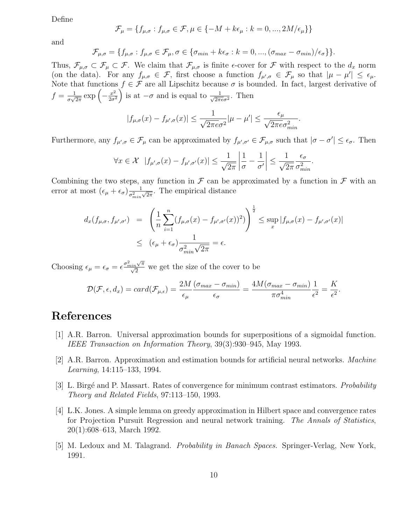Define

$$
\mathcal{F}_{\mu} = \{f_{\mu,\sigma} : f_{\mu,\sigma} \in \mathcal{F}, \mu \in \{-M + k\epsilon_{\mu} : k = 0, ..., 2M/\epsilon_{\mu}\}\}\
$$

and

$$
\mathcal{F}_{\mu,\sigma} = \{f_{\mu,\sigma} : f_{\mu,\sigma} \in \mathcal{F}_{\mu}, \sigma \in \{\sigma_{min} + k\epsilon_{\sigma} : k = 0, ..., (\sigma_{max} - \sigma_{min})/\epsilon_{\sigma}\} \}.
$$

Thus,  $\mathcal{F}_{\mu,\sigma} \subset \mathcal{F}_{\mu} \subset \mathcal{F}$ . We claim that  $\mathcal{F}_{\mu,\sigma}$  is finite  $\epsilon$ -cover for  $\mathcal F$  with respect to the  $d_x$  norm (on the data). For any  $f_{\mu,\sigma} \in \mathcal{F}$ , first choose a function  $f_{\mu',\sigma} \in \mathcal{F}_{\mu}$  so that  $|\mu - \mu'| \leq \epsilon_{\mu}$ . Note that functions  $f \in \mathcal{F}$  are all Lipschitz because  $\sigma$  is bounded. In fact, largest derivative of  $f = \frac{1}{\sigma \sqrt{2}}$  $\frac{1}{2\pi} \exp\left(-\frac{x^2}{2\sigma^2}\right)$  $2\sigma^2$ ) is at  $-\sigma$  and is equal to  $\frac{1}{\sqrt{2\pi e \sigma^2}}$ . Then

$$
|f_{\mu,\sigma}(x) - f_{\mu',\sigma}(x)| \le \frac{1}{\sqrt{2\pi e}\sigma^2} |\mu - \mu'| \le \frac{\epsilon_\mu}{\sqrt{2\pi e}\sigma_{\min}^2}.
$$

Furthermore, any  $f_{\mu',\sigma} \in \mathcal{F}_{\mu}$  can be approximated by  $f_{\mu',\sigma'} \in \mathcal{F}_{\mu,\sigma}$  such that  $|\sigma - \sigma'| \leq \epsilon_{\sigma}$ . Then

$$
\forall x \in \mathcal{X} \ \ |f_{\mu',\sigma}(x) - f_{\mu',\sigma'}(x)| \le \frac{1}{\sqrt{2\pi}} \left|\frac{1}{\sigma} - \frac{1}{\sigma'}\right| \le \frac{1}{\sqrt{2\pi}} \frac{\epsilon_{\sigma}}{\sigma_{\min}^2}.
$$

Combining the two steps, any function in  $\mathcal F$  can be approximated by a function in  $\mathcal F$  with an error at most  $(\epsilon_{\mu} + \epsilon_{\sigma}) \frac{1}{\sigma_{min}^2 \sqrt{2\pi}}$ . The empirical distance

$$
d_x(f_{\mu,\sigma}, f_{\mu',\sigma'}) = \left(\frac{1}{n}\sum_{i=1}^n (f_{\mu,\sigma}(x) - f_{\mu',\sigma'}(x))^2)\right)^{\frac{1}{2}} \le \sup_x |f_{\mu,\sigma}(x) - f_{\mu',\sigma'}(x)|
$$
  

$$
\le (\epsilon_{\mu} + \epsilon_{\sigma})\frac{1}{\sigma_{\min}^2 \sqrt{2\pi}} = \epsilon.
$$

Choosing  $\epsilon_{\mu} = \epsilon_{\sigma} = \epsilon \frac{\sigma_{min}^2 \sqrt{\pi}}{\sqrt{2}}$  we get the size of the cover to be

$$
\mathcal{D}(\mathcal{F}, \epsilon, d_x) = card(\mathcal{F}_{\mu,\epsilon}) = \frac{2M}{\epsilon_{\mu}} \frac{(\sigma_{max} - \sigma_{min})}{\epsilon_{\sigma}} = \frac{4M(\sigma_{max} - \sigma_{min})}{\pi \sigma_{min}^4} \frac{1}{\epsilon^2} = \frac{K}{\epsilon^2}.
$$

## **References**

- [1] A.R. Barron. Universal approximation bounds for superpositions of a sigmoidal function. *IEEE Transaction on Information Theory*, 39(3):930–945, May 1993.
- [2] A.R. Barron. Approximation and estimation bounds for artificial neural networks. *Machine Learning*, 14:115–133, 1994.
- [3] L. Birg´e and P. Massart. Rates of convergence for minimum contrast estimators. *Probability Theory and Related Fields*, 97:113–150, 1993.
- [4] L.K. Jones. A simple lemma on greedy approximation in Hilbert space and convergence rates for Projection Pursuit Regression and neural network training. *The Annals of Statistics*, 20(1):608–613, March 1992.
- [5] M. Ledoux and M. Talagrand. *Probability in Banach Spaces.* Springer-Verlag, New York, 1991.